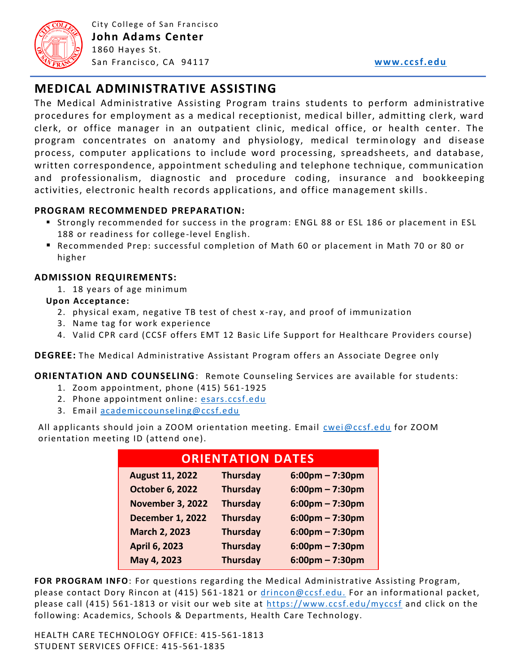

City College of San Francisco **John Adams Center** 1860 Hayes St. San Francisco , CA 94117 **[www.ccsf.edu](http://www.ccsf.edu/)**

# **MEDICAL ADMINISTRATIVE ASSISTING**

The Medical Administrative Assisting Program trains students to perform administrative procedures for employment as a medical receptionist, medical biller, admitting clerk, ward clerk, or office manager in an outpatient clinic, medical office, or health center. The program concentrates on anatomy and physiology, medical termin ology and disease process, computer applications to include word processing, spreadsheets, and database, written correspondence, appointment scheduling and telephone technique, communication and professionalism, diagnostic and procedure coding, insurance and bookkeeping activities, electronic health records applications, and office management skills.

#### **PROGRAM RECOMMENDED PREPARATION:**

- Strongly recommended for success in the program: ENGL 88 or ESL 186 or placement in ESL 188 or readiness for college-level English.
- Recommended Prep: successful completion of Math 60 or placement in Math 70 or 80 or higher

### **ADMISSION REQUIREMENTS:**

1. 18 years of age minimum

#### **Upon Acceptance:**

- 2. physical exam, negative TB test of chest x -ray, and proof of immunization
- 3. Name tag for work experience
- 4. Valid CPR card (CCSF offers EMT 12 Basic Life Support for Healthcare Providers course)

**DEGREE:** The Medical Administrative Assistant Program offers an Associate Degree only

#### **ORIENTATION AND COUNSELING**: Remote Counseling Services are available for students:

- 1. Zoom appointment, phone (415) 561-1925
- 2. Phone appointment online: [esars.ccsf.edu](https://esars.ccsf.edu/)
- 3. Email [academiccounseling@ccsf.edu](mailto:academiccounseling@ccsf.edu)

All applicants should join a ZOOM orientation meeting. Email [cwei@ccsf.edu](mailto:cwei@ccsf.edu) for ZOOM orientation meeting ID (attend one).

| <b>ORIENTATION DATES</b> |                 |                    |
|--------------------------|-----------------|--------------------|
| <b>August 11, 2022</b>   | <b>Thursday</b> | $6:00$ pm – 7:30pm |
| <b>October 6, 2022</b>   | <b>Thursday</b> | $6:00$ pm – 7:30pm |
| <b>November 3, 2022</b>  | <b>Thursday</b> | $6:00$ pm – 7:30pm |
| <b>December 1, 2022</b>  | <b>Thursday</b> | $6:00$ pm – 7:30pm |
| <b>March 2, 2023</b>     | <b>Thursday</b> | $6:00$ pm – 7:30pm |
| April 6, 2023            | <b>Thursday</b> | $6:00$ pm – 7:30pm |
| May 4, 2023              | <b>Thursday</b> | $6:00$ pm – 7:30pm |

**FOR PROGRAM INFO**: For questions regarding the Medical Administrative Assisting Program, please contact Dory Rincon at (415) 561-1821 or [drincon@ccsf.edu.](mailto:drincon@ccsf.edu) For an informational packet, please call (415) 561-1813 or visit our web site at<https://www.ccsf.edu/myccsf> and click on the following: Academics, Schools & Departments, Health Care Technology.

HEALTH CARE TECHNOLOGY OFFICE: 415-561-1813 STUDENT SERVICES OFFICE: 415-561-1835